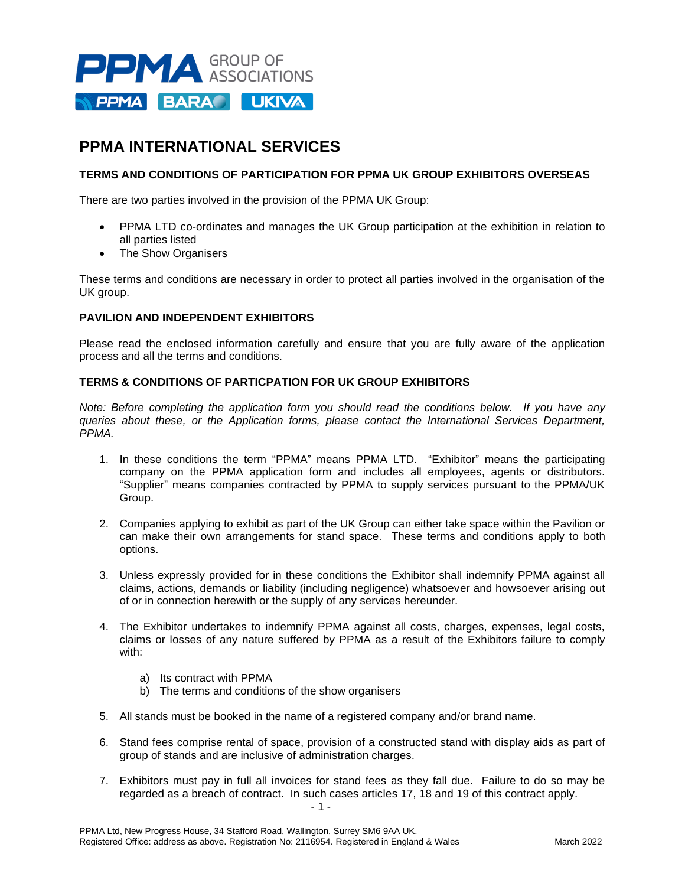

# **PPMA INTERNATIONAL SERVICES**

## **TERMS AND CONDITIONS OF PARTICIPATION FOR PPMA UK GROUP EXHIBITORS OVERSEAS**

There are two parties involved in the provision of the PPMA UK Group:

- PPMA LTD co-ordinates and manages the UK Group participation at the exhibition in relation to all parties listed
- The Show Organisers

These terms and conditions are necessary in order to protect all parties involved in the organisation of the UK group.

### **PAVILION AND INDEPENDENT EXHIBITORS**

Please read the enclosed information carefully and ensure that you are fully aware of the application process and all the terms and conditions.

### **TERMS & CONDITIONS OF PARTICPATION FOR UK GROUP EXHIBITORS**

*Note: Before completing the application form you should read the conditions below. If you have any queries about these, or the Application forms, please contact the International Services Department, PPMA.*

- 1. In these conditions the term "PPMA" means PPMA LTD. "Exhibitor" means the participating company on the PPMA application form and includes all employees, agents or distributors. "Supplier" means companies contracted by PPMA to supply services pursuant to the PPMA/UK Group.
- 2. Companies applying to exhibit as part of the UK Group can either take space within the Pavilion or can make their own arrangements for stand space. These terms and conditions apply to both options.
- 3. Unless expressly provided for in these conditions the Exhibitor shall indemnify PPMA against all claims, actions, demands or liability (including negligence) whatsoever and howsoever arising out of or in connection herewith or the supply of any services hereunder.
- 4. The Exhibitor undertakes to indemnify PPMA against all costs, charges, expenses, legal costs, claims or losses of any nature suffered by PPMA as a result of the Exhibitors failure to comply with:
	- a) Its contract with PPMA
	- b) The terms and conditions of the show organisers
- 5. All stands must be booked in the name of a registered company and/or brand name.
- 6. Stand fees comprise rental of space, provision of a constructed stand with display aids as part of group of stands and are inclusive of administration charges.
- $-1 -$ 7. Exhibitors must pay in full all invoices for stand fees as they fall due. Failure to do so may be regarded as a breach of contract. In such cases articles 17, 18 and 19 of this contract apply.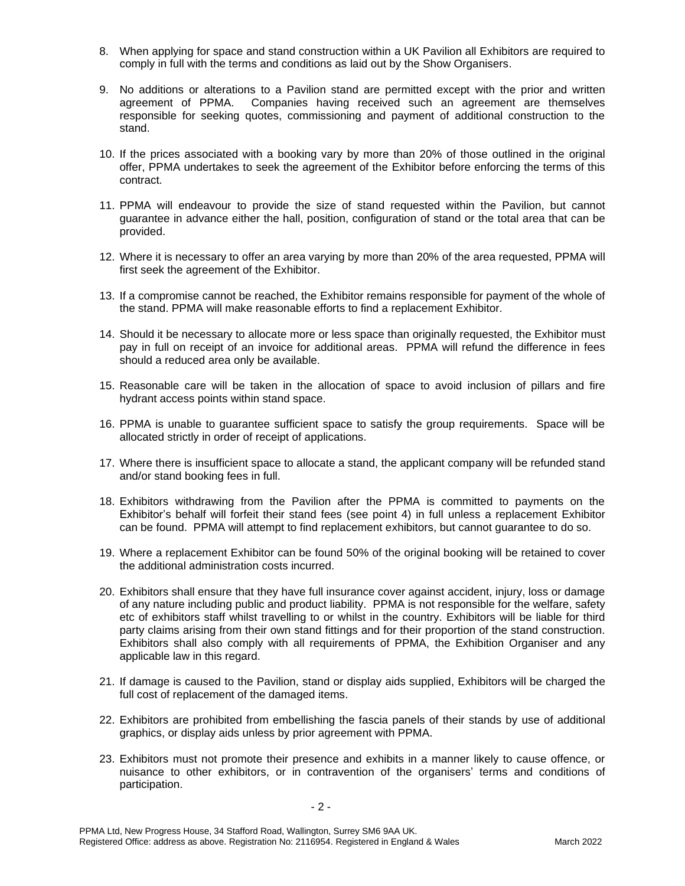- 8. When applying for space and stand construction within a UK Pavilion all Exhibitors are required to comply in full with the terms and conditions as laid out by the Show Organisers.
- 9. No additions or alterations to a Pavilion stand are permitted except with the prior and written agreement of PPMA. Companies having received such an agreement are themselves responsible for seeking quotes, commissioning and payment of additional construction to the stand.
- 10. If the prices associated with a booking vary by more than 20% of those outlined in the original offer, PPMA undertakes to seek the agreement of the Exhibitor before enforcing the terms of this contract.
- 11. PPMA will endeavour to provide the size of stand requested within the Pavilion, but cannot guarantee in advance either the hall, position, configuration of stand or the total area that can be provided.
- 12. Where it is necessary to offer an area varying by more than 20% of the area requested, PPMA will first seek the agreement of the Exhibitor.
- 13. If a compromise cannot be reached, the Exhibitor remains responsible for payment of the whole of the stand. PPMA will make reasonable efforts to find a replacement Exhibitor.
- 14. Should it be necessary to allocate more or less space than originally requested, the Exhibitor must pay in full on receipt of an invoice for additional areas. PPMA will refund the difference in fees should a reduced area only be available.
- 15. Reasonable care will be taken in the allocation of space to avoid inclusion of pillars and fire hydrant access points within stand space.
- 16. PPMA is unable to guarantee sufficient space to satisfy the group requirements. Space will be allocated strictly in order of receipt of applications.
- 17. Where there is insufficient space to allocate a stand, the applicant company will be refunded stand and/or stand booking fees in full.
- 18. Exhibitors withdrawing from the Pavilion after the PPMA is committed to payments on the Exhibitor's behalf will forfeit their stand fees (see point 4) in full unless a replacement Exhibitor can be found. PPMA will attempt to find replacement exhibitors, but cannot guarantee to do so.
- 19. Where a replacement Exhibitor can be found 50% of the original booking will be retained to cover the additional administration costs incurred.
- 20. Exhibitors shall ensure that they have full insurance cover against accident, injury, loss or damage of any nature including public and product liability. PPMA is not responsible for the welfare, safety etc of exhibitors staff whilst travelling to or whilst in the country. Exhibitors will be liable for third party claims arising from their own stand fittings and for their proportion of the stand construction. Exhibitors shall also comply with all requirements of PPMA, the Exhibition Organiser and any applicable law in this regard.
- 21. If damage is caused to the Pavilion, stand or display aids supplied, Exhibitors will be charged the full cost of replacement of the damaged items.
- 22. Exhibitors are prohibited from embellishing the fascia panels of their stands by use of additional graphics, or display aids unless by prior agreement with PPMA.
- 23. Exhibitors must not promote their presence and exhibits in a manner likely to cause offence, or nuisance to other exhibitors, or in contravention of the organisers' terms and conditions of participation.